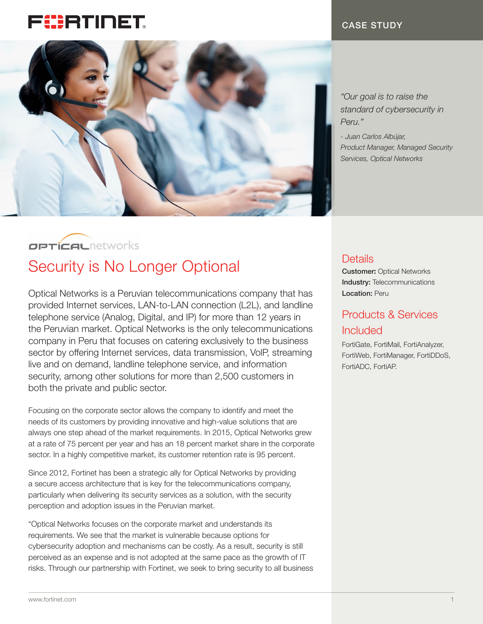# FURTIDET



CASE STUDY

*"Our goal is to raise the standard of cybersecurity in Peru."*

*- Juan Carlos Albújar, Product Manager, Managed Security Services, Optical Networks*

## **OPTICAL** networks

# Security is No Longer Optional Details

Optical Networks is a Peruvian telecommunications company that has provided Internet services, LAN-to-LAN connection (L2L), and landline telephone service (Analog, Digital, and IP) for more than 12 years in the Peruvian market. Optical Networks is the only telecommunications company in Peru that focuses on catering exclusively to the business sector by offering Internet services, data transmission, VolP, streaming live and on demand, landline telephone service, and information security, among other solutions for more than 2,500 customers in both the private and public sector.

Focusing on the corporate sector allows the company to identify and meet the needs of its customers by providing innovative and high-value solutions that are always one step ahead of the market requirements. In 2015, Optical Networks grew at a rate of 75 percent per year and has an 18 percent market share in the corporate sector. In a highly competitive market, its customer retention rate is 95 percent.

Since 2012, Fortinet has been a strategic ally for Optical Networks by providing a secure access architecture that is key for the telecommunications company, particularly when delivering its security services as a solution, with the security perception and adoption issues in the Peruvian market.

"Optical Networks focuses on the corporate market and understands its requirements. We see that the market is vulnerable because options for cybersecurity adoption and mechanisms can be costly. As a result, security is still perceived as an expense and is not adopted at the same pace as the growth of IT risks. Through our partnership with Fortinet, we seek to bring security to all business

Customer: Optical Networks Industry: Telecommunications Location: Peru

## Products & Services Included

FortiGate, FortiMail, FortiAnalyzer, FortiWeb, FortiManager, FortiDDoS, FortiADC, FortiAP.